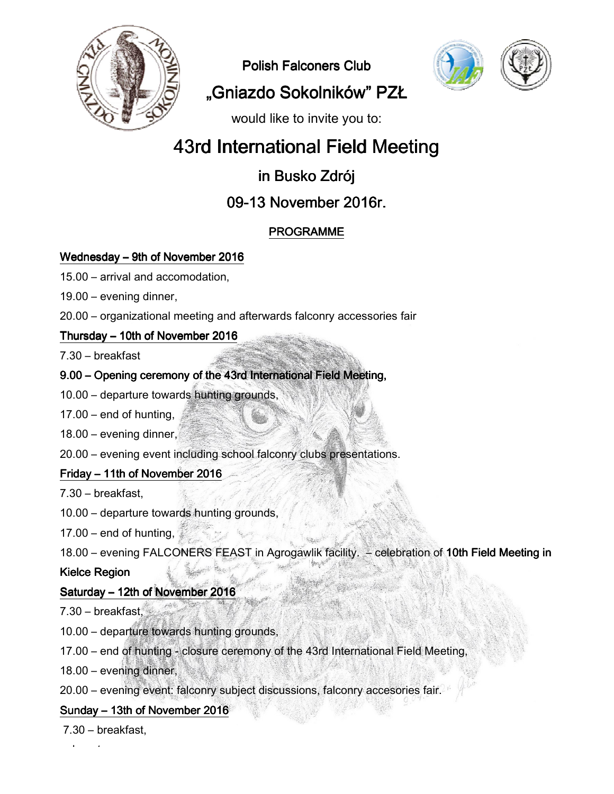

Polish Falconers Club





"Gniazdo Sokolników" PZŁ

would like to invite you to:

# 43rd International Field Meeting

## in Busko Zdrój

## 09-13 November 2016r.

### **PROGRAMME**

#### Wednesday – 9th of November 2016

- 15.00 arrival and accomodation,
- 19.00 evening dinner,
- 20.00 organizational meeting and afterwards falconry accessories fair

#### Thursday – 10th of November 2016

7.30 – breakfast

#### 9.00 – Opening ceremony of the 43rd International Field Meeting Meeting,

- 10.00 departure towards hunting grounds grounds,
- $17.00 -$  end of hunting,
- 18.00 evening dinner,
- 20.00 evening event including school falconry clubs presentations.

#### Friday – 11th of November 2016

7.30 – breakfast,

10.00 – departure towards hunting grounds grounds,

17.00 – end of hunting,

18.00 – evening FALCONERS FEAST in Agrogawlik facility. - celebration of 10th Field Meeting in

#### Kielce Region

### Saturday – 12th of November 2016

7.30 – breakfast,

10.00 – departure towards hunting grounds grounds,

17.00 – end of hunting - closure ceremony of the 43rd International Field Meeting,

18.00 – evening dinner,

20.00 – evening event: falconry subject discussions, f falconry accesories fair.

#### Sunday – 13th of November  $2016$

7.30 – breakfast,

– departure.